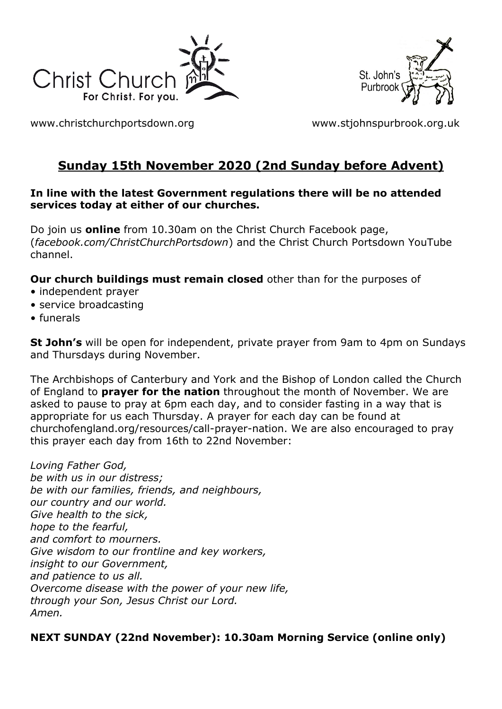



[www.christchurchportsdown.org](http://www.christchurchportsdown.org/) [www.stjohnspurbrook.org.uk](http://www.stjohnspurbrook.org.uk/)

# **Sunday 15th November 2020 (2nd Sunday before Advent)**

#### **In line with the latest Government regulations there will be no attended services today at either of our churches.**

Do join us **online** from 10.30am on the Christ Church Facebook page, (*facebook.com/ChristChurchPortsdown*) and the Christ Church Portsdown YouTube channel.

**Our church buildings must remain closed** other than for the purposes of

- independent prayer
- service broadcasting
- funerals

**St John's** will be open for independent, private prayer from 9am to 4pm on Sundays and Thursdays during November.

The Archbishops of Canterbury and York and the Bishop of London called the Church of England to **prayer for the nation** throughout the month of November. We are asked to pause to pray at 6pm each day, and to consider fasting in a way that is appropriate for us each Thursday. A prayer for each day can be found at churchofengland.org/resources/call-prayer-nation. We are also encouraged to pray this prayer each day from 16th to 22nd November:

*Loving Father God, be with us in our distress; be with our families, friends, and neighbours, our country and our world. Give health to the sick, hope to the fearful, and comfort to mourners. Give wisdom to our frontline and key workers, insight to our Government, and patience to us all. Overcome disease with the power of your new life, through your Son, Jesus Christ our Lord. Amen.*

## **NEXT SUNDAY (22nd November): 10.30am Morning Service (online only)**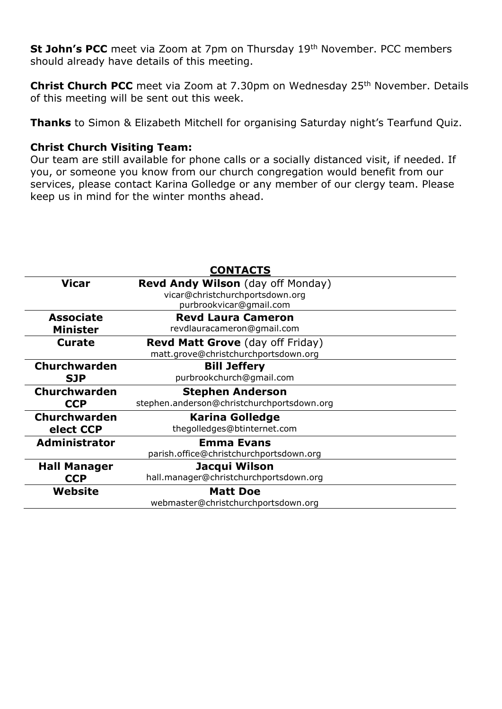**St John's PCC** meet via Zoom at 7pm on Thursday 19<sup>th</sup> November. PCC members should already have details of this meeting.

**Christ Church PCC** meet via Zoom at 7.30pm on Wednesday 25<sup>th</sup> November. Details of this meeting will be sent out this week.

**Thanks** to Simon & Elizabeth Mitchell for organising Saturday night's Tearfund Quiz.

#### **Christ Church Visiting Team:**

Our team are still available for phone calls or a socially distanced visit, if needed. If you, or someone you know from our church congregation would benefit from our services, please contact Karina Golledge or any member of our clergy team. Please keep us in mind for the winter months ahead.

|                      | <b>CONTACTS</b>                            |
|----------------------|--------------------------------------------|
| <b>Vicar</b>         | <b>Revd Andy Wilson</b> (day off Monday)   |
|                      | vicar@christchurchportsdown.org            |
|                      | purbrookvicar@gmail.com                    |
| <b>Associate</b>     | <b>Revd Laura Cameron</b>                  |
| <b>Minister</b>      | revdlauracameron@gmail.com                 |
| <b>Curate</b>        | Revd Matt Grove (day off Friday)           |
|                      | matt.grove@christchurchportsdown.org       |
| <b>Churchwarden</b>  | <b>Bill Jeffery</b>                        |
| <b>SJP</b>           | purbrookchurch@gmail.com                   |
| Churchwarden         | <b>Stephen Anderson</b>                    |
| <b>CCP</b>           | stephen.anderson@christchurchportsdown.org |
|                      |                                            |
| <b>Churchwarden</b>  | <b>Karina Golledge</b>                     |
| elect CCP            | thegolledges@btinternet.com                |
| <b>Administrator</b> | <b>Emma Evans</b>                          |
|                      | parish.office@christchurchportsdown.org    |
| <b>Hall Manager</b>  | Jacqui Wilson                              |
| <b>CCP</b>           | hall.manager@christchurchportsdown.org     |
| Website              | <b>Matt Doe</b>                            |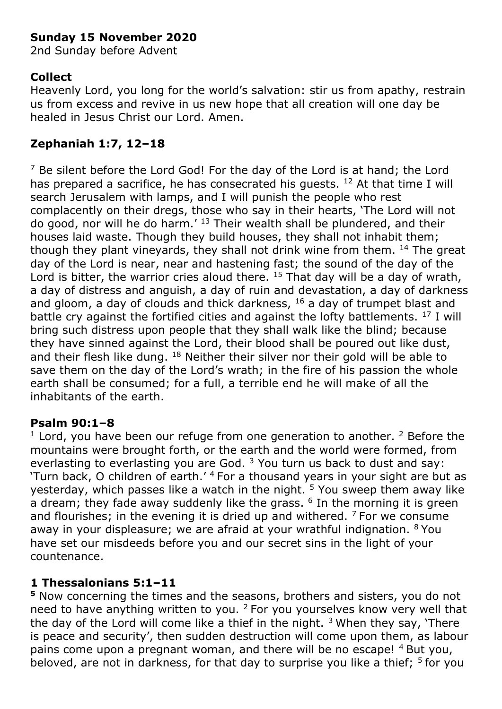## **Sunday 15 November 2020**

2nd Sunday before Advent

## **Collect**

Heavenly Lord, you long for the world's salvation: stir us from apathy, restrain us from excess and revive in us new hope that all creation will one day be healed in Jesus Christ our Lord. Amen.

## **Zephaniah 1:7, 12–18**

 $7$  Be silent before the Lord God! For the day of the Lord is at hand; the Lord has prepared a sacrifice, he has consecrated his quests.  $12$  At that time I will search Jerusalem with lamps, and I will punish the people who rest complacently on their dregs, those who say in their hearts, 'The Lord will not do good, nor will he do harm.' <sup>13</sup> Their wealth shall be plundered, and their houses laid waste. Though they build houses, they shall not inhabit them; though they plant vineyards, they shall not drink wine from them. <sup>14</sup> The great day of the Lord is near, near and hastening fast; the sound of the day of the Lord is bitter, the warrior cries aloud there.  $15$  That day will be a day of wrath, a day of distress and anguish, a day of ruin and devastation, a day of darkness and gloom, a day of clouds and thick darkness,  $16$  a day of trumpet blast and battle cry against the fortified cities and against the lofty battlements. <sup>17</sup> I will bring such distress upon people that they shall walk like the blind; because they have sinned against the Lord, their blood shall be poured out like dust, and their flesh like dung.  $^{18}$  Neither their silver nor their gold will be able to save them on the day of the Lord's wrath; in the fire of his passion the whole earth shall be consumed; for a full, a terrible end he will make of all the inhabitants of the earth.

## **Psalm 90:1–8**

 $1$  Lord, you have been our refuge from one generation to another.  $2$  Before the mountains were brought forth, or the earth and the world were formed, from everlasting to everlasting you are God.  $3$  You turn us back to dust and say: 'Turn back, O children of earth.' <sup>4</sup> For a thousand years in your sight are but as yesterday, which passes like a watch in the night.<sup>5</sup> You sweep them away like a dream; they fade away suddenly like the grass.  $6$  In the morning it is green and flourishes; in the evening it is dried up and withered.  $<sup>7</sup>$  For we consume</sup> away in your displeasure; we are afraid at your wrathful indignation. <sup>8</sup> You have set our misdeeds before you and our secret sins in the light of your countenance.

## **1 Thessalonians 5:1–11**

**<sup>5</sup>** Now concerning the times and the seasons, brothers and sisters, you do not need to have anything written to you. <sup>2</sup> For you yourselves know very well that the day of the Lord will come like a thief in the night.  $3$  When they say, 'There is peace and security', then sudden destruction will come upon them, as labour pains come upon a pregnant woman, and there will be no escape! <sup>4</sup> But you, beloved, are not in darkness, for that day to surprise you like a thief;  $5$  for you